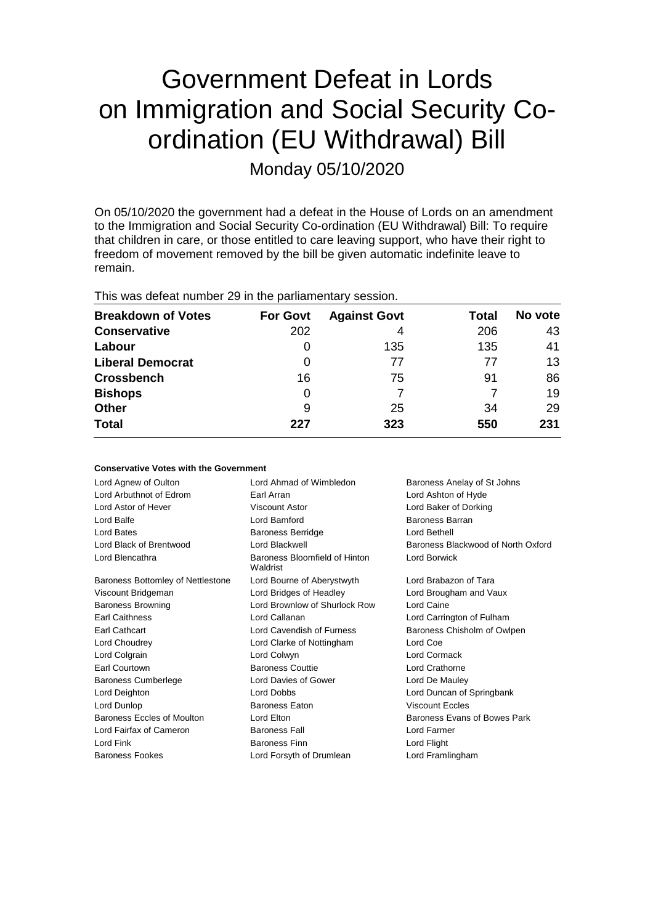# Government Defeat in Lords on Immigration and Social Security Coordination (EU Withdrawal) Bill

Monday 05/10/2020

On 05/10/2020 the government had a defeat in the House of Lords on an amendment to the Immigration and Social Security Co-ordination (EU Withdrawal) Bill: To require that children in care, or those entitled to care leaving support, who have their right to freedom of movement removed by the bill be given automatic indefinite leave to remain.

|  |  |  |  |  | This was defeat number 29 in the parliamentary session. |  |
|--|--|--|--|--|---------------------------------------------------------|--|
|--|--|--|--|--|---------------------------------------------------------|--|

**Conservative Votes with the Government**

| <b>Breakdown of Votes</b> | <b>For Govt</b> | <b>Against Govt</b> | Total | No vote |
|---------------------------|-----------------|---------------------|-------|---------|
| <b>Conservative</b>       | 202             | 4                   | 206   | 43      |
| Labour                    | 0               | 135                 | 135   | 41      |
| <b>Liberal Democrat</b>   | 0               | 77                  | 77    | 13      |
| <b>Crossbench</b>         | 16              | 75                  | 91    | 86      |
| <b>Bishops</b>            | 0               |                     |       | 19      |
| <b>Other</b>              | 9               | 25                  | 34    | 29      |
| <b>Total</b>              | 227             | 323                 | 550   | 231     |

| CONSERVATIVE AORES MILII LITE QUAELIIIITENT |                                           |                                    |
|---------------------------------------------|-------------------------------------------|------------------------------------|
| Lord Agnew of Oulton                        | Lord Ahmad of Wimbledon                   | Baroness Anelay of St Johns        |
| Lord Arbuthnot of Edrom                     | Earl Arran                                | Lord Ashton of Hyde                |
| Lord Astor of Hever                         | <b>Viscount Astor</b>                     | Lord Baker of Dorking              |
| Lord Balfe                                  | Lord Bamford                              | Baroness Barran                    |
| Lord Bates                                  | <b>Baroness Berridge</b>                  | Lord Bethell                       |
| Lord Black of Brentwood                     | Lord Blackwell                            | Baroness Blackwood of North Oxford |
| Lord Blencathra                             | Baroness Bloomfield of Hinton<br>Waldrist | Lord Borwick                       |
| Baroness Bottomley of Nettlestone           | Lord Bourne of Aberystwyth                | Lord Brabazon of Tara              |
| Viscount Bridgeman                          | Lord Bridges of Headley                   | Lord Brougham and Vaux             |
| <b>Baroness Browning</b>                    | Lord Brownlow of Shurlock Row             | Lord Caine                         |
| <b>Earl Caithness</b>                       | Lord Callanan                             | Lord Carrington of Fulham          |
| Earl Cathcart                               | Lord Cavendish of Furness                 | Baroness Chisholm of Owlpen        |
| Lord Choudrey                               | Lord Clarke of Nottingham                 | Lord Coe                           |
| Lord Colgrain                               | Lord Colwyn                               | Lord Cormack                       |
| <b>Earl Courtown</b>                        | <b>Baroness Couttie</b>                   | Lord Crathorne                     |
| <b>Baroness Cumberlege</b>                  | Lord Davies of Gower                      | Lord De Mauley                     |
| Lord Deighton                               | <b>Lord Dobbs</b>                         | Lord Duncan of Springbank          |
| Lord Dunlop                                 | <b>Baroness Eaton</b>                     | <b>Viscount Eccles</b>             |
| Baroness Eccles of Moulton                  | Lord Elton                                | Baroness Evans of Bowes Park       |
| Lord Fairfax of Cameron                     | <b>Baroness Fall</b>                      | Lord Farmer                        |
| Lord Fink                                   | <b>Baroness Finn</b>                      | Lord Flight                        |
| <b>Baroness Fookes</b>                      | Lord Forsyth of Drumlean                  | Lord Framlingham                   |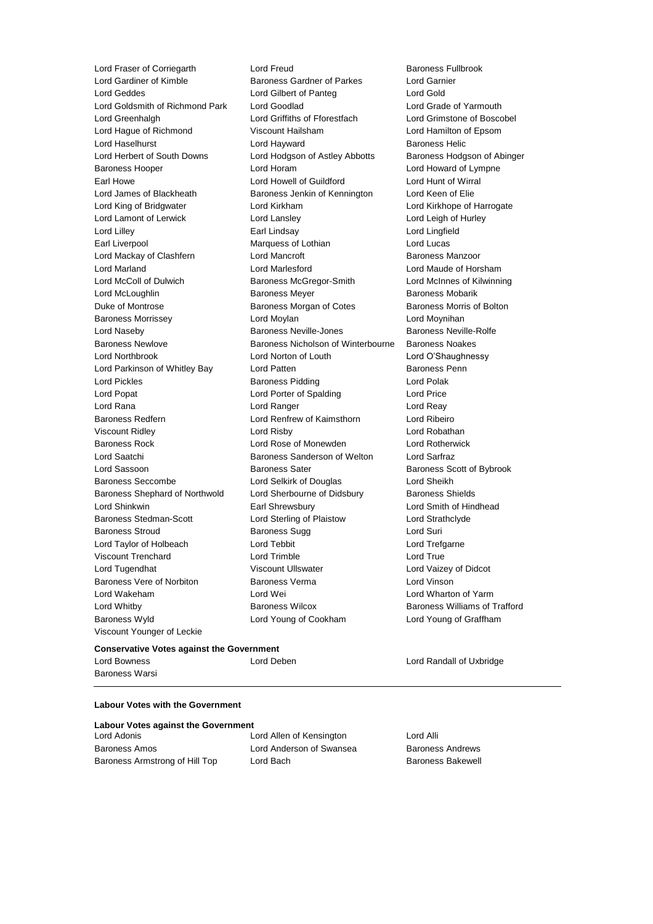Lord Geddes Lord Gilbert of Panteg Lord Gold Lord Goldsmith of Richmond Park Lord Goodlad Lord Grade of Yarmouth Lord Greenhalgh Lord Griffiths of Fforestfach Lord Grimstone of Boscobel Lord Hague of Richmond Viscount Hailsham Lord Hamilton of Epsom Lord Haselhurst **Lord Hayward** Baroness Helic Lord Herbert of South Downs Lord Hodgson of Astley Abbotts Baroness Hodgson of Abinger Baroness Hooper Lord Horam Lord Howard of Lympne Earl Howe Lord Howell of Guildford Lord Hunt of Wirral Lord James of Blackheath Baroness Jenkin of Kennington Lord Keen of Elie Lord King of Bridgwater **Lord Kirkham Lord Kirkham Lord Kirkhope of Harrogate** Lord Lamont of Lerwick Lord Lansley Lord Leigh of Hurley Lord Lilley Earl Lindsay Lord Lingfield Earl Liverpool **Earl Liverpool** Marquess of Lothian **Lord Lucas** Lord Mackay of Clashfern Lord Mancroft Baroness Manzoor Lord Marland Lord Marlesford Lord Maude of Horsham Lord McColl of Dulwich Baroness McGregor-Smith Lord McInnes of Kilwinning Lord McLoughlin **Baroness Meyer** Baroness Meyer Baroness Mobarik Duke of Montrose **Baroness Morgan of Cotes** Baroness Morris of Bolton Baroness Morrissey **Lord Moylan** Lord Moylan Lord Moynihan Lord Naseby Baroness Neville-Jones Baroness Neville-Rolfe Baroness Newlove **Baroness Nicholson of Winterbourne** Baroness Noakes Lord Northbrook Lord Norton of Louth Lord O'Shaughnessy Lord Parkinson of Whitley Bay Lord Patten **Baroness Penn** Lord Pickles **Baroness Pidding** Lord Polak Lord Popat **Lord Porter of Spalding Lord Price** Lord Rana **Lord Ranger** Lord Ranger **Lord Reay** Baroness Redfern Lord Renfrew of Kaimsthorn Lord Ribeiro Viscount Ridley Lord Risby Lord Robathan Baroness Rock Lord Rose of Monewden Lord Rotherwick Lord Saatchi **Baroness Sanderson of Welton** Lord Sarfraz Lord Sassoon **Baroness Sater** Baroness Sater Baroness Scott of Bybrook Baroness Seccombe Lord Selkirk of Douglas Lord Sheikh Baroness Shephard of Northwold Lord Sherbourne of Didsbury Baroness Shields Lord Shinkwin Earl Shrewsbury Lord Smith of Hindhead Baroness Stedman-Scott Lord Sterling of Plaistow Lord Strathclyde Baroness Stroud **Baroness Sugg Lord Suri** Lord Taylor of Holbeach Lord Tebbit Lord Trefgarne Viscount Trenchard Lord Trimble Lord True Lord Tugendhat Viscount Ullswater Lord Vaizey of Didcot Baroness Vere of Norbiton Baroness Verma Lord Vinson Lord Wakeham **Lord Wei** Lord Wei **Lord Wei Lord Wharton of Yarm** Lord Whitby **Baroness Wilcox** Baroness Wilcox **Baroness Williams of Trafford** Baroness Wyld Lord Young of Cookham Lord Young of Graffham Viscount Younger of Leckie

Lord Fraser of Corriegarth Lord Freud Lord Freud Baroness Fullbrook<br>
Lord Gardiner of Kimble Baroness Gardner of Parkes Lord Garnier Baroness Gardner of Parkes

#### **Conservative Votes against the Government**

Lord Bowness Lord Deben Lord Randall of Uxbridge Baroness Warsi

#### **Labour Votes with the Government**

|             |  | Labour Votes against the Governmer |
|-------------|--|------------------------------------|
| Lord Adopio |  |                                    |

| LOIU AUONIS                    |  |
|--------------------------------|--|
| Baroness Amos                  |  |
| Baroness Armstrong of Hill Top |  |

Lord Allen of Kensington Lord Alli Lord Anderson of Swansea Baroness Andrews Lord Bach **Baroness Bakewell**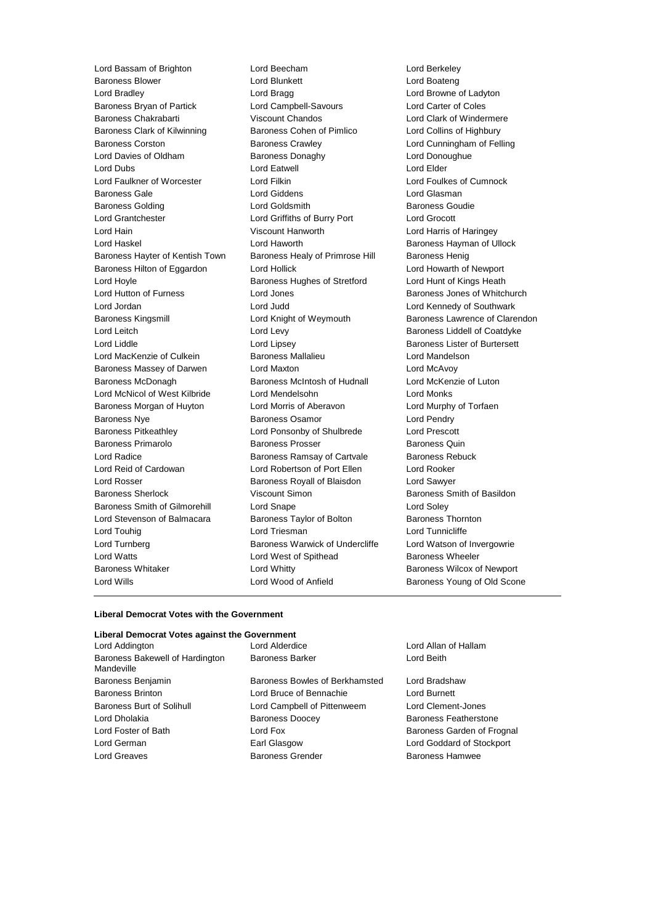Lord Bassam of Brighton Lord Beecham Lord Berkeley Baroness Blower Lord Blunkett Lord Boateng Lord Bradley Lord Bragg Lord Browne of Ladyton Baroness Bryan of Partick Lord Campbell-Savours Lord Carter of Coles Baroness Chakrabarti **Viscount Chandos Lord Clark of Windermere** Baroness Clark of Kilwinning **Baroness Cohen of Pimlico** Lord Collins of Highbury Baroness Corston Baroness Crawley Lord Cunningham of Felling Lord Davies of Oldham Baroness Donaghy Baroness Donaghy Lord Dubs Lord Eatwell Lord Elder Lord Faulkner of Worcester Lord Filkin Lord Foulkes of Cumnock Baroness Gale **Lord Giddens** Lord Giddens **Lord Gigaman** Baroness Golding **Collect Contains Containers** Lord Goldsmith **Baroness Goudie** Lord Grantchester Lord Griffiths of Burry Port Lord Grocott Lord Hain Viscount Hanworth Lord Harris of Haringey Lord Haskel **Lord Haworth** Lord Haworth **Baroness Hayman of Ullock** Baroness Hayter of Kentish Town Baroness Healy of Primrose Hill Baroness Henig Baroness Hilton of Eggardon Lord Hollick Lord Howarth of Newport Lord Hoyle **Baroness Hughes of Stretford** Lord Hunt of Kings Heath Lord Hunt of Kings Heath Lord Hutton of Furness **Lord Jones** Cord Jones **Baroness Jones of Whitchurch** Lord Jordan Lord Judd Lord Kennedy of Southwark Baroness Kingsmill Lord Knight of Weymouth Baroness Lawrence of Clarendon Lord Leitch Lord Levy Baroness Liddell of Coatdyke Lord Liddle Lord Lipsey Baroness Lister of Burtersett Lord MacKenzie of Culkein Baroness Mallalieu Lord Mandelson Baroness Massey of Darwen Lord Maxton Lord McAvoy Baroness McDonagh Baroness McIntosh of Hudnall Lord McKenzie of Luton Lord McNicol of West Kilbride Lord Mendelsohn Lord Monks Baroness Morgan of Huyton Lord Morris of Aberavon Lord Murphy of Torfaen Baroness Nye Baroness Osamor Lord Pendry Baroness Pitkeathley Lord Ponsonby of Shulbrede Lord Prescott Baroness Primarolo **Baroness Prosser** Baroness Quin Lord Radice **Baroness Ramsay of Cartvale** Baroness Rebuck Lord Reid of Cardowan Lord Robertson of Port Ellen Lord Rooker Lord Rosser Baroness Royall of Blaisdon Lord Sawyer Baroness Sherlock Viscount Simon Baroness Smith of Basildon Baroness Smith of Gilmorehill Lord Snape Lord Soley Lord Stevenson of Balmacara **Baroness Taylor of Bolton** Baroness Thornton Lord Touhig Lord Triesman Lord Tunnicliffe Lord Turnberg **Baroness Warwick of Undercliffe** Lord Watson of Invergowrie Lord Watts **Lord West of Spithead** Baroness Wheeler Baroness Whitaker **Lord Whitty Example 20** Extra Baroness Wilcox of Newport Lord Wills Lord Wood of Anfield Baroness Young of Old Scone

#### **Liberal Democrat Votes with the Government**

#### **Liberal Democrat Votes against the Government**

Lord Addington Lord Alderdice Lord Allan of Hallam Baroness Bakewell of Hardington **Mandeville** 

Baroness Benjamin Baroness Bowles of Berkhamsted Lord Bradshaw Baroness Brinton Lord Bruce of Bennachie Lord Burnett Baroness Burt of Solihull Lord Campbell of Pittenweem Lord Clement-Jones Lord Dholakia Baroness Doocey Baroness Featherstone Lord Foster of Bath **Lord Fox** Lord Fox Baroness Garden of Frognal Lord German Earl Glasgow Lord Goddard of Stockport Lord Greaves **Baroness Grender** Baroness Hamwee Baroness Hamwee

Baroness Barker Lord Beith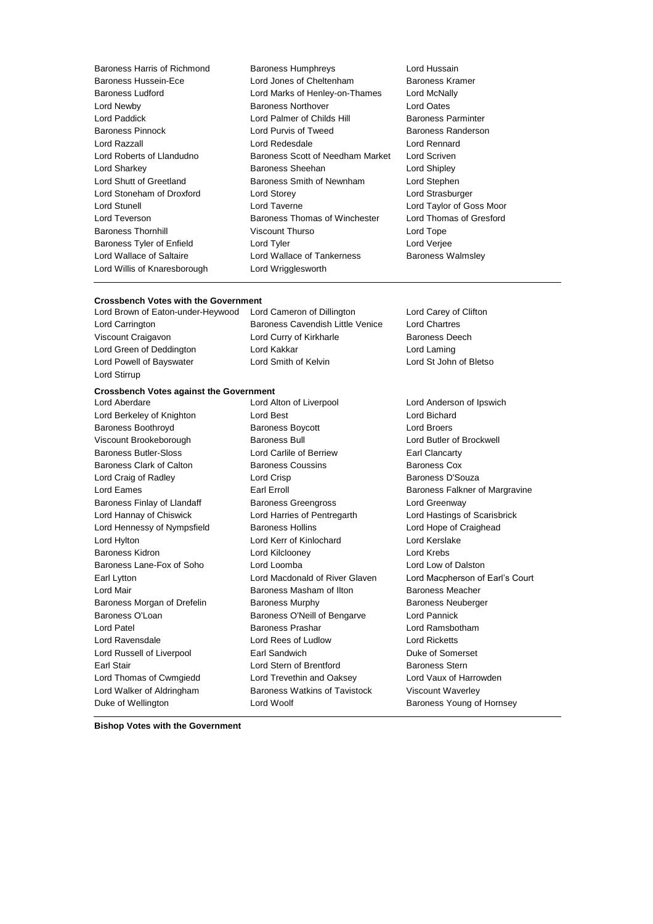Lord Willis of Knaresborough Lord Wrigglesworth

Baroness Harris of Richmond Baroness Humphreys Lord Hussain Baroness Hussein-Ece **Lord Jones of Cheltenham** Baroness Kramer Baroness Ludford Lord Marks of Henley-on-Thames Lord McNally Lord Newby Baroness Northover Lord Oates Lord Paddick Lord Palmer of Childs Hill Baroness Parminter Baroness Pinnock **Example 2** Lord Purvis of Tweed Baroness Randerson Lord Razzall Lord Redesdale Lord Rennard Lord Roberts of Llandudno Baroness Scott of Needham Market Lord Scriven Lord Sharkey **Baroness Sheehan** Lord Shipley **Constants** Lord Shutt of Greetland Baroness Smith of Newnham Lord Stephen Lord Stoneham of Droxford Lord Storey Lord Strasburger Lord Stunell Lord Taverne Lord Taylor of Goss Moor Lord Teverson **Baroness Thomas of Winchester** Lord Thomas of Gresford Baroness Thornhill Viscount Thurso Lord Tope Baroness Tyler of Enfield Lord Tyler Lord Verjee Lord Wallace of Saltaire **Lord Wallace of Tankerness** Baroness Walmsley

### **Crossbench Votes with the Government**<br>
Lord Brown of Eaton-under-Heywood Lord Cameron of Dillington

Lord Stirrup

Lord Brown of Eaton-under-Heywood Lord Cameron of Dillington Lord Carey of Clifton Lord Carrington Baroness Cavendish Little Venice Lord Chartres Viscount Craigavon Lord Curry of Kirkharle Baroness Deech Lord Green of Deddington Lord Kakkar Lord Lord Laming Lord Powell of Bayswater Lord Smith of Kelvin Lord St John of Bletso

### **Crossbench Votes against the Government**

Lord Berkeley of Knighton Lord Best Lord Bichard Lord Bichard Baroness Boothroyd Baroness Boycott Lord Broers Viscount Brookeborough Baroness Bull Lord Butler of Brockwell Baroness Butler-Sloss Lord Carlile of Berriew Earl Clancarty Baroness Clark of Calton **Baroness Coussins** Baroness Cox Lord Craig of Radley **Lord Crisp Lord Crisp Baroness D'Souza** Lord Eames **Earl Erroll** Earl Erroll **Earl Erroll** Baroness Falkner of Margravine Baroness Finlay of Llandaff Baroness Greengross Communication Cord Greenway Lord Hannay of Chiswick Lord Harries of Pentregarth Lord Hastings of Scarisbrick Lord Hennessy of Nympsfield Baroness Hollins **Baroness Hollins** Lord Hope of Craighead Lord Hylton Lord Kerr of Kinlochard Lord Kerslake Baroness Kidron Lord Kilclooney Lord Krebs Baroness Lane-Fox of Soho Lord Loomba Lord Loomba Lord Low of Dalston Earl Lytton Lord Macdonald of River Glaven Lord Macpherson of Earl's Court Lord Mair Baroness Masham of Ilton Baroness Meacher Baroness Morgan of Drefelin **Baroness Murphy** Baroness Neuberger Baroness O'Loan **Baroness O'Neill of Bengarve** Lord Pannick Lord Patel Baroness Prashar Lord Ramsbotham Lord Ravensdale Lord Rees of Ludlow Lord Ricketts Lord Russell of Liverpool **Earl Sandwich Company** Duke of Somerset Earl Stair **Earl Stair** Lord Stern of Brentford **Baroness Stern** Lord Thomas of Cwmgiedd Lord Trevethin and Oaksey Lord Vaux of Harrowden Lord Walker of Aldringham Baroness Watkins of Tavistock Viscount Waverley Duke of Wellington **Duke of Wellington** Lord Woolf **Baroness Young of Hornsey** 

Lord Aberdare Lord Alton of Liverpool Lord Anderson of Ipswich

**Bishop Votes with the Government**